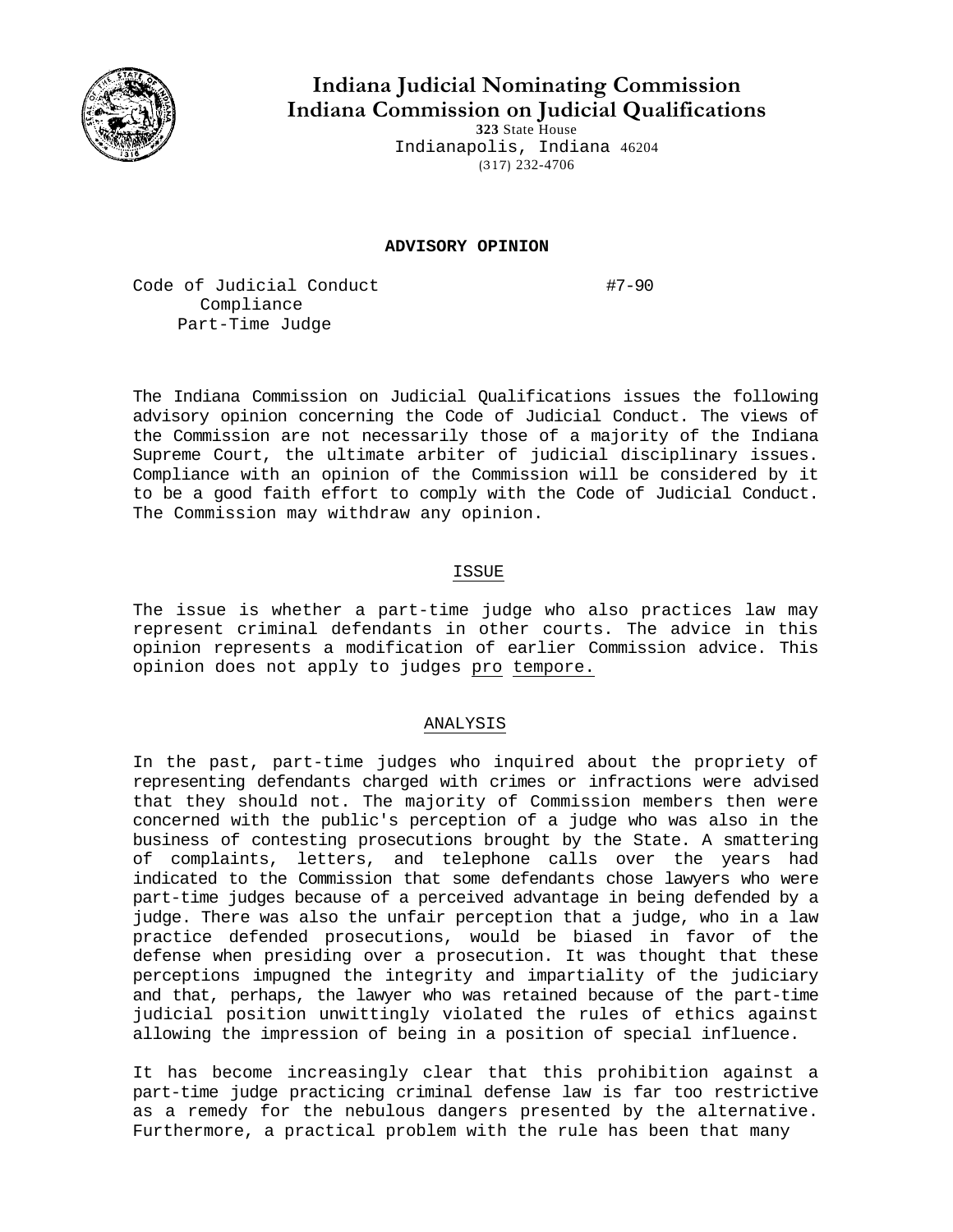

**Indiana Judicial Nominating Commission Indiana Commission on Judicial Qualifications** 

**323** State House Indianapolis, Indiana 46204 (317) 232-4706

## **ADVISORY OPINION**

Code of Judicial Conduct #7-90 Compliance Part-Time Judge

The Indiana Commission on Judicial Qualifications issues the following advisory opinion concerning the Code of Judicial Conduct. The views of the Commission are not necessarily those of a majority of the Indiana Supreme Court, the ultimate arbiter of judicial disciplinary issues. Compliance with an opinion of the Commission will be considered by it to be a good faith effort to comply with the Code of Judicial Conduct. The Commission may withdraw any opinion.

## ISSUE

The issue is whether a part-time judge who also practices law may represent criminal defendants in other courts. The advice in this opinion represents a modification of earlier Commission advice. This opinion does not apply to judges pro tempore.

## ANALYSIS

In the past, part-time judges who inquired about the propriety of representing defendants charged with crimes or infractions were advised that they should not. The majority of Commission members then were concerned with the public's perception of a judge who was also in the business of contesting prosecutions brought by the State. A smattering of complaints, letters, and telephone calls over the years had indicated to the Commission that some defendants chose lawyers who were part-time judges because of a perceived advantage in being defended by a judge. There was also the unfair perception that a judge, who in a law practice defended prosecutions, would be biased in favor of the defense when presiding over a prosecution. It was thought that these perceptions impugned the integrity and impartiality of the judiciary and that, perhaps, the lawyer who was retained because of the part-time judicial position unwittingly violated the rules of ethics against allowing the impression of being in a position of special influence.

It has become increasingly clear that this prohibition against a part-time judge practicing criminal defense law is far too restrictive as a remedy for the nebulous dangers presented by the alternative. Furthermore, a practical problem with the rule has been that many